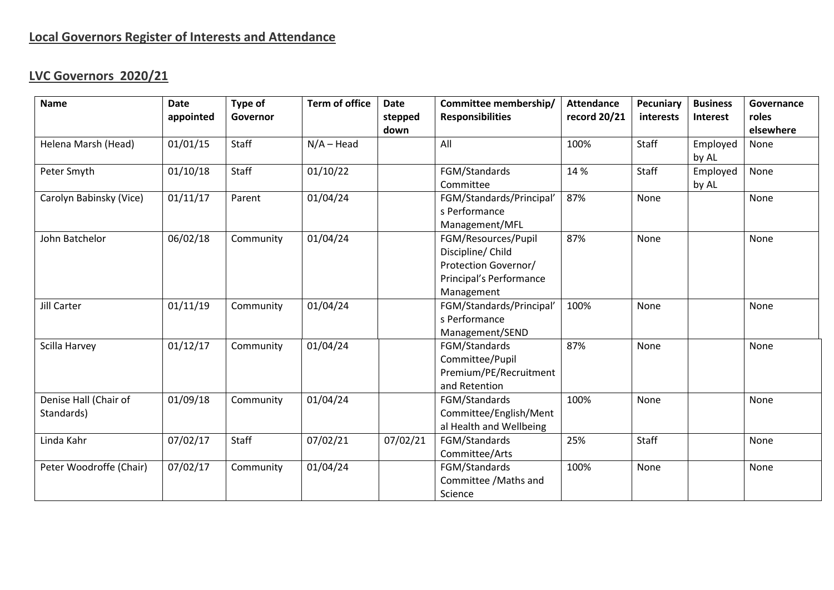## **Local Governors Register of Interests and Attendance**

## **LVC Governors 2020/21**

| <b>Name</b>             | Date      | Type of      | <b>Term of office</b> | <b>Date</b>     | Committee membership/    | <b>Attendance</b> | Pecuniary | <b>Business</b> | Governance         |
|-------------------------|-----------|--------------|-----------------------|-----------------|--------------------------|-------------------|-----------|-----------------|--------------------|
|                         | appointed | Governor     |                       | stepped<br>down | <b>Responsibilities</b>  | record 20/21      | interests | Interest        | roles<br>elsewhere |
| Helena Marsh (Head)     | 01/01/15  | Staff        | $N/A - Head$          |                 | All                      | 100%              | Staff     | Employed        | None               |
|                         |           |              |                       |                 |                          |                   |           | by AL           |                    |
| Peter Smyth             | 01/10/18  | <b>Staff</b> | 01/10/22              |                 | FGM/Standards            | 14 %              | Staff     | Employed        | None               |
|                         |           |              |                       |                 | Committee                |                   |           | by AL           |                    |
| Carolyn Babinsky (Vice) | 01/11/17  | Parent       | 01/04/24              |                 | FGM/Standards/Principal' | 87%               | None      |                 | None               |
|                         |           |              |                       |                 | s Performance            |                   |           |                 |                    |
|                         |           |              |                       |                 | Management/MFL           |                   |           |                 |                    |
| John Batchelor          | 06/02/18  | Community    | 01/04/24              |                 | FGM/Resources/Pupil      | 87%               | None      |                 | None               |
|                         |           |              |                       |                 | Discipline/ Child        |                   |           |                 |                    |
|                         |           |              |                       |                 | Protection Governor/     |                   |           |                 |                    |
|                         |           |              |                       |                 | Principal's Performance  |                   |           |                 |                    |
|                         |           |              |                       |                 | Management               |                   |           |                 |                    |
| Jill Carter             | 01/11/19  | Community    | 01/04/24              |                 | FGM/Standards/Principal' | 100%              | None      |                 | None               |
|                         |           |              |                       |                 | s Performance            |                   |           |                 |                    |
|                         |           |              |                       |                 | Management/SEND          |                   |           |                 |                    |
| Scilla Harvey           | 01/12/17  | Community    | 01/04/24              |                 | FGM/Standards            | 87%               | None      |                 | None               |
|                         |           |              |                       |                 | Committee/Pupil          |                   |           |                 |                    |
|                         |           |              |                       |                 | Premium/PE/Recruitment   |                   |           |                 |                    |
|                         |           |              |                       |                 | and Retention            |                   |           |                 |                    |
| Denise Hall (Chair of   | 01/09/18  | Community    | 01/04/24              |                 | FGM/Standards            | 100%              | None      |                 | None               |
| Standards)              |           |              |                       |                 | Committee/English/Ment   |                   |           |                 |                    |
|                         |           |              |                       |                 | al Health and Wellbeing  |                   |           |                 |                    |
| Linda Kahr              | 07/02/17  | <b>Staff</b> | 07/02/21              | 07/02/21        | FGM/Standards            | 25%               | Staff     |                 | None               |
|                         |           |              |                       |                 | Committee/Arts           |                   |           |                 |                    |
| Peter Woodroffe (Chair) | 07/02/17  | Community    | 01/04/24              |                 | FGM/Standards            | 100%              | None      |                 | None               |
|                         |           |              |                       |                 | Committee /Maths and     |                   |           |                 |                    |
|                         |           |              |                       |                 | Science                  |                   |           |                 |                    |